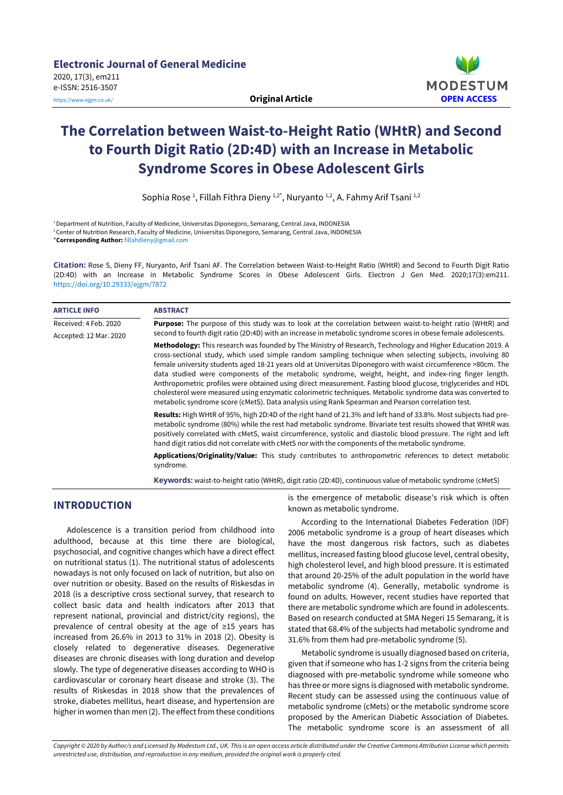

# **The Correlation between Waist-to-Height Ratio (WHtR) and Second to Fourth Digit Ratio (2D:4D) with an Increase in Metabolic Syndrome Scores in Obese Adolescent Girls**

Sophia Rose<sup>1</sup>, Fillah Fithra Dieny <sup>1,2\*</sup>, Nuryanto <sup>1,2</sup>, A. Fahmy Arif Tsani <sup>1,2</sup>

<sup>1</sup>Department of Nutrition, Faculty of Medicine, Universitas Diponegoro, Semarang, Central Java, INDONESIA <sup>2</sup>Center of Nutrition Research, Faculty of Medicine, Universitas Diponegoro, Semarang, Central Java, INDONESIA \***Corresponding Author:** [fillahdieny@gmail.com](mailto:fillahdieny@gmail.com)

**Citation:** Rose S, Dieny FF, Nuryanto, Arif Tsani AF. The Correlation between Waist-to-Height Ratio (WHtR) and Second to Fourth Digit Ratio (2D:4D) with an Increase in Metabolic Syndrome Scores in Obese Adolescent Girls. Electron J Gen Med. 2020;17(3):em211. <https://doi.org/10.29333/ejgm/7872>

| <b>ARTICLE INFO</b>    | <b>ABSTRACT</b>                                                                                                                                                                                                                                                                                                                                                                                                                                                                                                                                                                                                                                                                                                                                                                       |  |  |
|------------------------|---------------------------------------------------------------------------------------------------------------------------------------------------------------------------------------------------------------------------------------------------------------------------------------------------------------------------------------------------------------------------------------------------------------------------------------------------------------------------------------------------------------------------------------------------------------------------------------------------------------------------------------------------------------------------------------------------------------------------------------------------------------------------------------|--|--|
| Received: 4 Feb. 2020  | <b>Purpose:</b> The purpose of this study was to look at the correlation between waist-to-height ratio (WHtR) and<br>second to fourth digit ratio (2D:4D) with an increase in metabolic syndrome scores in obese female adolescents.                                                                                                                                                                                                                                                                                                                                                                                                                                                                                                                                                  |  |  |
| Accepted: 12 Mar. 2020 | Methodology: This research was founded by The Ministry of Research, Technology and Higher Education 2019. A<br>cross-sectional study, which used simple random sampling technique when selecting subjects, involving 80<br>female university students aged 18-21 years old at Universitas Diponegoro with waist circumference >80cm. The<br>data studied were components of the metabolic syndrome, weight, height, and index-ring finger length.<br>Anthropometric profiles were obtained using direct measurement. Fasting blood glucose, triglycerides and HDL<br>cholesterol were measured using enzymatic colorimetric techniques. Metabolic syndrome data was converted to<br>metabolic syndrome score (cMetS). Data analysis using Rank Spearman and Pearson correlation test. |  |  |
|                        | <b>Results:</b> High WHtR of 95%, high 2D:4D of the right hand of 21.3% and left hand of 33.8%. Most subjects had pre-<br>metabolic syndrome (80%) while the rest had metabolic syndrome. Bivariate test results showed that WHtR was<br>positively correlated with cMetS, waist circumference, systolic and diastolic blood pressure. The right and left<br>hand digit ratios did not correlate with cMetS nor with the components of the metabolic syndrome.                                                                                                                                                                                                                                                                                                                        |  |  |
|                        | Applications/Originality/Value: This study contributes to anthropometric references to detect metabolic<br>syndrome.                                                                                                                                                                                                                                                                                                                                                                                                                                                                                                                                                                                                                                                                  |  |  |

**Keywords:** waist-to-height ratio (WHtR), digit ratio (2D:4D), continuous value of metabolic syndrome (cMetS)

# **INTRODUCTION**

Adolescence is a transition period from childhood into adulthood, because at this time there are biological, psychosocial, and cognitive changes which have a direct effect on nutritional status (1). The nutritional status of adolescents nowadays is not only focused on lack of nutrition, but also on over nutrition or obesity. Based on the results of Riskesdas in 2018 (is a descriptive cross sectional survey, that research to collect basic data and health indicators after 2013 that represent national, provincial and district/city regions), the prevalence of central obesity at the age of ≥15 years has increased from 26.6% in 2013 to 31% in 2018 (2). Obesity is closely related to degenerative diseases. Degenerative diseases are chronic diseases with long duration and develop slowly. The type of degenerative diseases according to WHO is cardiovascular or coronary heart disease and stroke (3). The results of Riskesdas in 2018 show that the prevalences of stroke, diabetes mellitus, heart disease, and hypertension are higher in women than men (2). The effect from these conditions

is the emergence of metabolic disease's risk which is often known as metabolic syndrome.

According to the International Diabetes Federation (IDF) 2006 metabolic syndrome is a group of heart diseases which have the most dangerous risk factors, such as diabetes mellitus, increased fasting blood glucose level, central obesity, high cholesterol level, and high blood pressure. It is estimated that around 20-25% of the adult population in the world have metabolic syndrome (4). Generally, metabolic syndrome is found on adults. However, recent studies have reported that there are metabolic syndrome which are found in adolescents. Based on research conducted at SMA Negeri 15 Semarang, it is stated that 68.4% of the subjects had metabolic syndrome and 31.6% from them had pre-metabolic syndrome (5).

Metabolic syndrome is usually diagnosed based on criteria, given that if someone who has 1-2 signs from the criteria being diagnosed with pre-metabolic syndrome while someone who has three or more signs is diagnosed with metabolic syndrome. Recent study can be assessed using the continuous value of metabolic syndrome (cMets) or the metabolic syndrome score proposed by the American Diabetic Association of Diabetes. The metabolic syndrome score is an assessment of all

Copyright © 2020 by Author/s and Licensed by Modestum Ltd., UK. This is an open access article distributed under the Creative Commons Attribution License which permits *unrestricted use, distribution, and reproduction in any medium, provided the original work is properly cited.*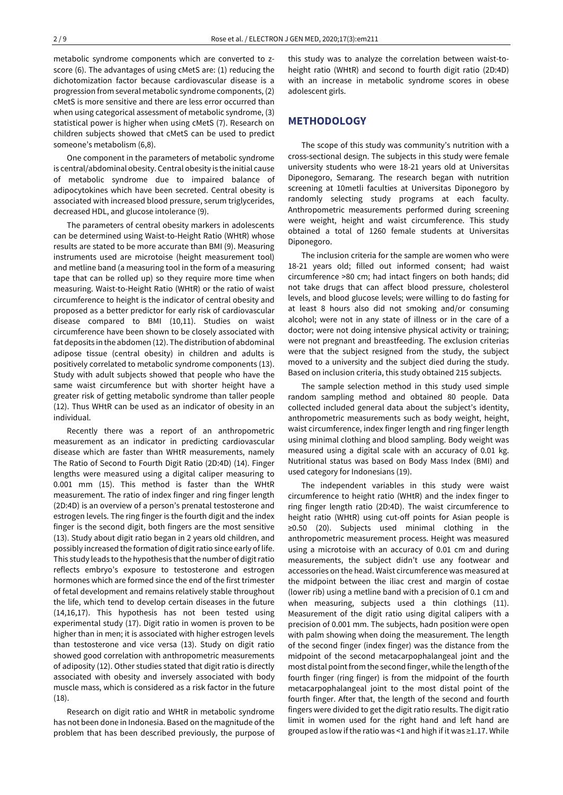metabolic syndrome components which are converted to zscore (6). The advantages of using cMetS are: (1) reducing the dichotomization factor because cardiovascular disease is a progression from several metabolic syndrome components, (2) cMetS is more sensitive and there are less error occurred than when using categorical assessment of metabolic syndrome, (3) statistical power is higher when using cMetS (7). Research on children subjects showed that cMetS can be used to predict someone's metabolism (6,8).

One component in the parameters of metabolic syndrome is central/abdominal obesity. Central obesity is the initial cause of metabolic syndrome due to impaired balance of adipocytokines which have been secreted. Central obesity is associated with increased blood pressure, serum triglycerides, decreased HDL, and glucose intolerance (9).

The parameters of central obesity markers in adolescents can be determined using Waist-to-Height Ratio (WHtR) whose results are stated to be more accurate than BMI (9). Measuring instruments used are microtoise (height measurement tool) and metline band (a measuring tool in the form of a measuring tape that can be rolled up) so they require more time when measuring. Waist-to-Height Ratio (WHtR) or the ratio of waist circumference to height is the indicator of central obesity and proposed as a better predictor for early risk of cardiovascular disease compared to BMI (10,11). Studies on waist circumference have been shown to be closely associated with fat deposits in the abdomen (12). The distribution of abdominal adipose tissue (central obesity) in children and adults is positively correlated to metabolic syndrome components (13). Study with adult subjects showed that people who have the same waist circumference but with shorter height have a greater risk of getting metabolic syndrome than taller people (12). Thus WHtR can be used as an indicator of obesity in an individual.

Recently there was a report of an anthropometric measurement as an indicator in predicting cardiovascular disease which are faster than WHtR measurements, namely The Ratio of Second to Fourth Digit Ratio (2D:4D) (14). Finger lengths were measured using a digital caliper measuring to 0.001 mm (15). This method is faster than the WHtR measurement. The ratio of index finger and ring finger length (2D:4D) is an overview of a person's prenatal testosterone and estrogen levels. The ring finger is the fourth digit and the index finger is the second digit, both fingers are the most sensitive (13). Study about digit ratio began in 2 years old children, and possibly increased the formation of digit ratio since early of life. This study leads to the hypothesis that the number of digit ratio reflects embryo's exposure to testosterone and estrogen hormones which are formed since the end of the first trimester of fetal development and remains relatively stable throughout the life, which tend to develop certain diseases in the future (14,16,17). This hypothesis has not been tested using experimental study (17). Digit ratio in women is proven to be higher than in men; it is associated with higher estrogen levels than testosterone and vice versa (13). Study on digit ratio showed good correlation with anthropometric measurements of adiposity (12). Other studies stated that digit ratio is directly associated with obesity and inversely associated with body muscle mass, which is considered as a risk factor in the future (18).

Research on digit ratio and WHtR in metabolic syndrome has not been done in Indonesia. Based on the magnitude of the problem that has been described previously, the purpose of

this study was to analyze the correlation between waist-toheight ratio (WHtR) and second to fourth digit ratio (2D:4D) with an increase in metabolic syndrome scores in obese adolescent girls.

# **METHODOLOGY**

The scope of this study was community's nutrition with a cross-sectional design. The subjects in this study were female university students who were 18-21 years old at Universitas Diponegoro, Semarang. The research began with nutrition screening at 10metli faculties at Universitas Diponegoro by randomly selecting study programs at each faculty. Anthropometric measurements performed during screening were weight, height and waist circumference. This study obtained a total of 1260 female students at Universitas Diponegoro.

The inclusion criteria for the sample are women who were 18-21 years old; filled out informed consent; had waist circumference >80 cm; had intact fingers on both hands; did not take drugs that can affect blood pressure, cholesterol levels, and blood glucose levels; were willing to do fasting for at least 8 hours also did not smoking and/or consuming alcohol; were not in any state of illness or in the care of a doctor; were not doing intensive physical activity or training; were not pregnant and breastfeeding. The exclusion criterias were that the subject resigned from the study, the subject moved to a university and the subject died during the study. Based on inclusion criteria, this study obtained 215 subjects.

The sample selection method in this study used simple random sampling method and obtained 80 people. Data collected included general data about the subject's identity, anthropometric measurements such as body weight, height, waist circumference, index finger length and ring finger length using minimal clothing and blood sampling. Body weight was measured using a digital scale with an accuracy of 0.01 kg. Nutritional status was based on Body Mass Index (BMI) and used category for Indonesians (19).

The independent variables in this study were waist circumference to height ratio (WHtR) and the index finger to ring finger length ratio (2D:4D). The waist circumference to height ratio (WHtR) using cut-off points for Asian people is ≥0.50 (20). Subjects used minimal clothing in the anthropometric measurement process. Height was measured using a microtoise with an accuracy of 0.01 cm and during measurements, the subject didn't use any footwear and accessories on the head. Waist circumference was measured at the midpoint between the iliac crest and margin of costae (lower rib) using a metline band with a precision of 0.1 cm and when measuring, subjects used a thin clothings (11). Measurement of the digit ratio using digital calipers with a precision of 0.001 mm. The subjects, hadn position were open with palm showing when doing the measurement. The length of the second finger (index finger) was the distance from the midpoint of the second metacarpophalangeal joint and the most distal point from the second finger, while the length of the fourth finger (ring finger) is from the midpoint of the fourth metacarpophalangeal joint to the most distal point of the fourth finger. After that, the length of the second and fourth fingers were divided to get the digit ratio results. The digit ratio limit in women used for the right hand and left hand are grouped as low if the ratio was <1 and high if it was ≥1.17. While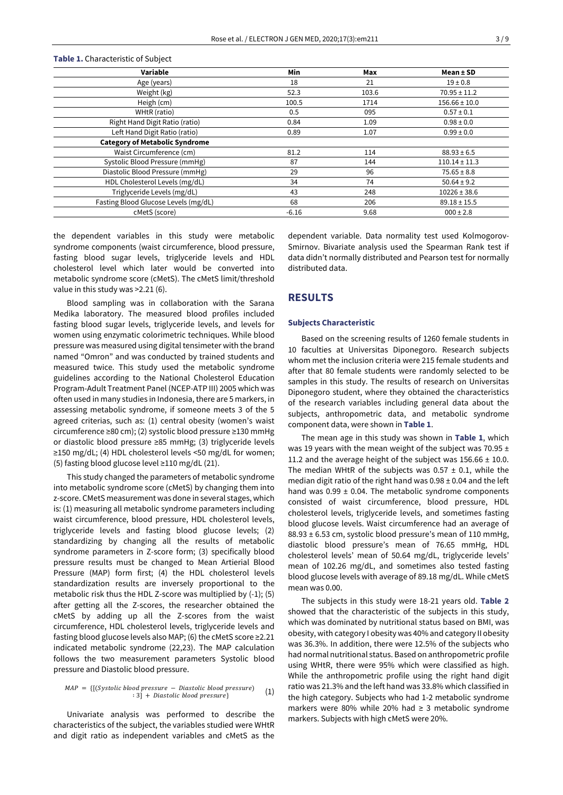| Variable                              | Min     | Max   | $Mean \pm SD$     |
|---------------------------------------|---------|-------|-------------------|
| Age (years)                           | 18      | 21    | $19 \pm 0.8$      |
| Weight (kg)                           | 52.3    | 103.6 | $70.95 \pm 11.2$  |
| Heigh (cm)                            | 100.5   | 1714  | $156.66 \pm 10.0$ |
| WHtR (ratio)                          | 0.5     | 095   | $0.57 \pm 0.1$    |
| Right Hand Digit Ratio (ratio)        | 0.84    | 1.09  | $0.98 \pm 0.0$    |
| Left Hand Digit Ratio (ratio)         | 0.89    | 1.07  | $0.99 \pm 0.0$    |
| <b>Category of Metabolic Syndrome</b> |         |       |                   |
| Waist Circumference (cm)              | 81.2    | 114   | $88.93 \pm 6.5$   |
| Systolic Blood Pressure (mmHg)        | 87      | 144   | $110.14 \pm 11.3$ |
| Diastolic Blood Pressure (mmHg)       | 29      | 96    | $75.65 \pm 8.8$   |
| HDL Cholesterol Levels (mg/dL)        | 34      | 74    | $50.64 \pm 9.2$   |
| Triglyceride Levels (mg/dL)           | 43      | 248   | $10226 \pm 38.6$  |
| Fasting Blood Glucose Levels (mg/dL)  | 68      | 206   | $89.18 \pm 15.5$  |
| cMetS (score)                         | $-6.16$ | 9.68  | $000 \pm 2.8$     |

**Table 1.** Characteristic of Subject

the dependent variables in this study were metabolic syndrome components (waist circumference, blood pressure, fasting blood sugar levels, triglyceride levels and HDL cholesterol level which later would be converted into metabolic syndrome score (cMetS). The cMetS limit/threshold value in this study was >2.21 (6).

Blood sampling was in collaboration with the Sarana Medika laboratory. The measured blood profiles included fasting blood sugar levels, triglyceride levels, and levels for women using enzymatic colorimetric techniques. While blood pressure was measured using digital tensimeter with the brand named "Omron" and was conducted by trained students and measured twice. This study used the metabolic syndrome guidelines according to the National Cholesterol Education Program-Adult Treatment Panel (NCEP-ATP III) 2005 which was often used in many studies in Indonesia, there are 5 markers, in assessing metabolic syndrome, if someone meets 3 of the 5 agreed criterias, such as: (1) central obesity (women's waist circumference ≥80 cm); (2) systolic blood pressure ≥130 mmHg or diastolic blood pressure ≥85 mmHg; (3) triglyceride levels ≥150 mg/dL; (4) HDL cholesterol levels <50 mg/dL for women; (5) fasting blood glucose level ≥110 mg/dL (21).

This study changed the parameters of metabolic syndrome into metabolic syndrome score (cMetS) by changing them into z-score. CMetS measurement was done in several stages, which is: (1) measuring all metabolic syndrome parameters including waist circumference, blood pressure, HDL cholesterol levels, triglyceride levels and fasting blood glucose levels; (2) standardizing by changing all the results of metabolic syndrome parameters in Z-score form; (3) specifically blood pressure results must be changed to Mean Artierial Blood Pressure (MAP) form first; (4) the HDL cholesterol levels standardization results are inversely proportional to the metabolic risk thus the HDL Z-score was multiplied by (-1); (5) after getting all the Z-scores, the researcher obtained the cMetS by adding up all the Z-scores from the waist circumference, HDL cholesterol levels, triglyceride levels and fasting blood glucose levels also MAP; (6) the cMetS score ≥2.21 indicated metabolic syndrome (22,23). The MAP calculation follows the two measurement parameters Systolic blood pressure and Diastolic blood pressure.

$$
MAP = \{[(Systemal \; blood \; pressure - Diastolic \; blood \; pressure) \; 3] + Diastolic \; blood \; pressure\} \tag{1}
$$

Univariate analysis was performed to describe the characteristics of the subject, the variables studied were WHtR and digit ratio as independent variables and cMetS as the dependent variable. Data normality test used Kolmogorov-Smirnov. Bivariate analysis used the Spearman Rank test if data didn't normally distributed and Pearson test for normally distributed data.

## **RESULTS**

#### **Subjects Characteristic**

Based on the screening results of 1260 female students in 10 faculties at Universitas Diponegoro. Research subjects whom met the inclusion criteria were 215 female students and after that 80 female students were randomly selected to be samples in this study. The results of research on Universitas Diponegoro student, where they obtained the characteristics of the research variables including general data about the subjects, anthropometric data, and metabolic syndrome component data, were shown in **Table 1**.

The mean age in this study was shown in **Table 1**, which was 19 years with the mean weight of the subject was 70.95 ± 11.2 and the average height of the subject was  $156.66 \pm 10.0$ . The median WHtR of the subjects was  $0.57 \pm 0.1$ , while the median digit ratio of the right hand was  $0.98 \pm 0.04$  and the left hand was  $0.99 \pm 0.04$ . The metabolic syndrome components consisted of waist circumference, blood pressure, HDL cholesterol levels, triglyceride levels, and sometimes fasting blood glucose levels. Waist circumference had an average of 88.93 ± 6.53 cm, systolic blood pressure's mean of 110 mmHg, diastolic blood pressure's mean of 76.65 mmHg, HDL cholesterol levels' mean of 50.64 mg/dL, triglyceride levels' mean of 102.26 mg/dL, and sometimes also tested fasting blood glucose levels with average of 89.18 mg/dL. While cMetS mean was 0.00.

The subjects in this study were 18-21 years old. **Table 2** showed that the characteristic of the subjects in this study, which was dominated by nutritional status based on BMI, was obesity, with category I obesity was 40% and category II obesity was 36.3%. In addition, there were 12.5% of the subjects who had normal nutritional status. Based on anthropometric profile using WHtR, there were 95% which were classified as high. While the anthropometric profile using the right hand digit ratio was 21.3% and the left hand was 33.8% which classified in the high category. Subjects who had 1-2 metabolic syndrome markers were 80% while 20% had ≥ 3 metabolic syndrome markers. Subjects with high cMetS were 20%.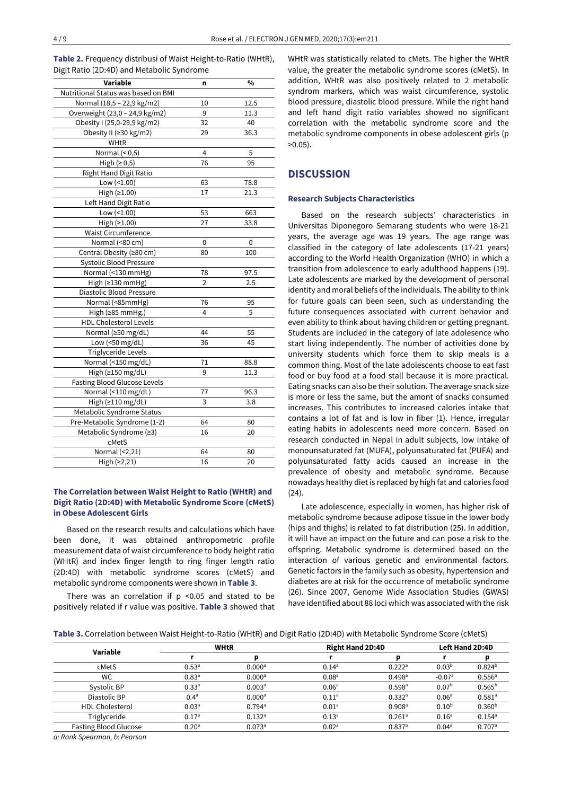**Table 2.** Frequency distribusi of Waist Height-to-Ratio (WHtR), Digit Ratio (2D:4D) and Metabolic Syndrome

| Variable                            | n               | $\%$ |
|-------------------------------------|-----------------|------|
| Nutritional Status was based on BMI |                 |      |
| Normal (18,5 - 22,9 kg/m2)          | 10              | 12.5 |
| Overweight (23,0 - 24,9 kg/m2)      | 9               | 11.3 |
| Obesity I (25,0-29,9 kg/m2)         | 32              | 40   |
| Obesity II (≥30 kg/m2)              | 29              | 36.3 |
| WHtR                                |                 |      |
| Normal $(0.5)$                      | 4               | 5    |
| High $(≥ 0,5)$                      | 76              | 95   |
| <b>Right Hand Digit Ratio</b>       |                 |      |
| Low $(<1.00)$                       | 63              | 78.8 |
| High (≥1.00)                        | 17              | 21.3 |
| Left Hand Digit Ratio               |                 |      |
| Low $($ <1.00)                      | 53              | 663  |
| High (≥1.00)                        | $\overline{27}$ | 33.8 |
| <b>Waist Circumference</b>          |                 |      |
| Normal (<80 cm)                     | 0               | 0    |
| Central Obesity (≥80 cm)            | 80              | 100  |
| <b>Systolic Blood Pressure</b>      |                 |      |
| Normal (<130 mmHg)                  | 78              | 97.5 |
| High (≥130 mmHg)                    | 2               | 2.5  |
| Diastolic Blood Pressure            |                 |      |
| Normal (<85mmHg)                    | 76              | 95   |
| High $(≥85$ mmHg.)                  | 4               | 5    |
| <b>HDL Cholesterol Levels</b>       |                 |      |
| Normal (≥50 mg/dL)                  | 44              | 55   |
| Low (<50 mg/dL)                     | 36              | 45   |
| Triglyceride Levels                 |                 |      |
| Normal (<150 mg/dL)                 | 71              | 88.8 |
| High (≥150 mg/dL)                   | 9               | 11.3 |
| Fasting Blood Glucose Levels        |                 |      |
| Normal (<110 mg/dL)                 | 77              | 96.3 |
| High (≥110 mg/dL)                   | 3               | 3.8  |
| Metabolic Syndrome Status           |                 |      |
| Pre-Metabolic Syndrome (1-2)        | 64              | 80   |
| Metabolic Syndrome (≥3)             | 16              | 20   |
| cMetS                               |                 |      |
| Normal (<2,21)                      | 64              | 80   |
| High (≥2,21)                        | 16              | 20   |

## **The Correlation between Waist Height to Ratio (WHtR) and Digit Ratio (2D:4D) with Metabolic Syndrome Score (cMetS) in Obese Adolescent Girls**

Based on the research results and calculations which have been done, it was obtained anthropometric profile measurement data of waist circumference to body height ratio (WHtR) and index finger length to ring finger length ratio (2D:4D) with metabolic syndrome scores (cMetS) and metabolic syndrome components were shown in **Table 3**.

There was an correlation if  $p$  <0.05 and stated to be positively related if r value was positive. **Table 3** showed that WHtR was statistically related to cMets. The higher the WHtR value, the greater the metabolic syndrome scores (cMetS). In addition, WHtR was also positively related to 2 metabolic syndrom markers, which was waist circumference, systolic blood pressure, diastolic blood pressure. While the right hand and left hand digit ratio variables showed no significant correlation with the metabolic syndrome score and the metabolic syndrome components in obese adolescent girls (p >0.05).

# **DISCUSSION**

## **Research Subjects Characteristics**

Based on the research subjects' characteristics in Universitas Diponegoro Semarang students who were 18-21 years, the average age was 19 years. The age range was classified in the category of late adolescents (17-21 years) according to the World Health Organization (WHO) in which a transition from adolescence to early adulthood happens (19). Late adolescents are marked by the development of personal identity and moral beliefs of the individuals. The ability to think for future goals can been seen, such as understanding the future consequences associated with current behavior and even ability to think about having children or getting pregnant. Students are included in the category of late adolesence who start living independently. The number of activities done by university students which force them to skip meals is a common thing. Most of the late adolescents choose to eat fast food or buy food at a food stall because it is more practical. Eating snacks can also be their solution. The average snack size is more or less the same, but the amont of snacks consumed increases. This contributes to increased calories intake that contains a lot of fat and is low in fiber (1). Hence, irregular eating habits in adolescents need more concern. Based on research conducted in Nepal in adult subjects, low intake of monounsaturated fat (MUFA), polyunsaturated fat (PUFA) and polyunsaturated fatty acids caused an increase in the prevalence of obesity and metabolic syndrome. Because nowadays healthy diet is replaced by high fat and calories food (24).

Late adolescence, especially in women, has higher risk of metabolic syndrome because adipose tissue in the lower body (hips and thighs) is related to fat distribution (25). In addition, it will have an impact on the future and can pose a risk to the offspring. Metabolic syndrome is determined based on the interaction of various genetic and environmental factors. Genetic factors in the family such as obesity, hypertension and diabetes are at risk for the occurrence of metabolic syndrome (26). Since 2007, Genome Wide Association Studies (GWAS) have identified about 88 loci which was associated with the risk

| <b>Table 3.</b> Correlation between Waist Height-to-Ratio (WHtR) and Digit Ratio (2D:4D) with Metabolic Syndrome Score (cMetS) |  |  |  |  |
|--------------------------------------------------------------------------------------------------------------------------------|--|--|--|--|
|--------------------------------------------------------------------------------------------------------------------------------|--|--|--|--|

| Variable                     | <b>WHtR</b>       |                      | <b>Right Hand 2D:4D</b> |                      | <b>Left Hand 2D:4D</b> |                      |
|------------------------------|-------------------|----------------------|-------------------------|----------------------|------------------------|----------------------|
|                              |                   |                      |                         |                      |                        |                      |
| cMetS                        | $0.53^{a}$        | 0.000 <sup>a</sup>   | $0.14^{a}$              | $0.222$ <sup>a</sup> | 0.03 <sup>b</sup>      | $0.824^{b}$          |
| WC                           | 0.83 <sup>a</sup> | 0.000 <sup>a</sup>   | 0.08 <sup>a</sup>       | $0.498$ <sup>a</sup> | $-0.07a$               | $0.556^{\circ}$      |
| Systolic BP                  | 0.33 <sup>a</sup> | 0.003 <sup>a</sup>   | 0.06 <sup>a</sup>       | $0.598$ <sup>a</sup> | 0.07 <sup>b</sup>      | $0.565^{b}$          |
| Diastolic BP                 | 0.4 <sup>a</sup>  | 0.000 <sup>a</sup>   | 0.11 <sup>a</sup>       | $0.332$ <sup>a</sup> | 0.06 <sup>a</sup>      | $0.581$ <sup>a</sup> |
| <b>HDL Cholesterol</b>       | 0.03 <sup>a</sup> | $0.794$ <sup>a</sup> | 0.01 <sup>a</sup>       | $0.908$ <sup>a</sup> | $0.10^{b}$             | 0.360 <sup>b</sup>   |
| Triglyceride                 | 0.17 <sup>a</sup> | $0.132$ <sup>a</sup> | $0.13^{a}$              | $0.261$ <sup>a</sup> | $0.16^{\circ}$         | $0.154^{a}$          |
| <b>Fasting Blood Glucose</b> | 0.20 <sup>a</sup> | $0.073$ <sup>a</sup> | 0.02 <sup>a</sup>       | $0.837$ <sup>a</sup> | $0.04^{\circ}$         | $0.707$ <sup>a</sup> |

*a: Rank Spearman, b: Pearson*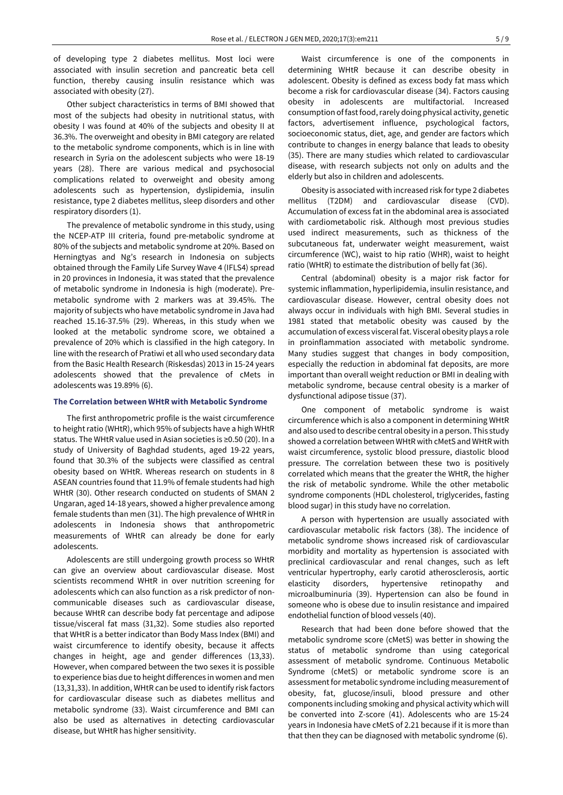of developing type 2 diabetes mellitus. Most loci were associated with insulin secretion and pancreatic beta cell function, thereby causing insulin resistance which was associated with obesity (27).

Other subject characteristics in terms of BMI showed that most of the subjects had obesity in nutritional status, with obesity I was found at 40% of the subjects and obesity II at 36.3%. The overweight and obesity in BMI category are related to the metabolic syndrome components, which is in line with research in Syria on the adolescent subjects who were 18-19 years (28). There are various medical and psychosocial complications related to overweight and obesity among adolescents such as hypertension, dyslipidemia, insulin resistance, type 2 diabetes mellitus, sleep disorders and other respiratory disorders (1).

The prevalence of metabolic syndrome in this study, using the NCEP-ATP III criteria, found pre-metabolic syndrome at 80% of the subjects and metabolic syndrome at 20%. Based on Herningtyas and Ng's research in Indonesia on subjects obtained through the Family Life Survey Wave 4 (IFLS4) spread in 20 provinces in Indonesia, it was stated that the prevalence of metabolic syndrome in Indonesia is high (moderate). Premetabolic syndrome with 2 markers was at 39.45%. The majority of subjects who have metabolic syndrome in Java had reached 15.16-37.5% (29). Whereas, in this study when we looked at the metabolic syndrome score, we obtained a prevalence of 20% which is classified in the high category. In line with the research of Pratiwi et all who used secondary data from the Basic Health Research (Riskesdas) 2013 in 15-24 years adolescents showed that the prevalence of cMets in adolescents was 19.89% (6).

#### **The Correlation between WHtR with Metabolic Syndrome**

The first anthropometric profile is the waist circumference to height ratio (WHtR), which 95% of subjects have a high WHtR status. The WHtR value used in Asian societies is ≥0.50 (20). In a study of University of Baghdad students, aged 19-22 years, found that 30.3% of the subjects were classified as central obesity based on WHtR. Whereas research on students in 8 ASEAN countries found that 11.9% of female students had high WHtR (30). Other research conducted on students of SMAN 2 Ungaran, aged 14-18 years, showed a higher prevalence among female students than men (31). The high prevalence of WHtR in adolescents in Indonesia shows that anthropometric measurements of WHtR can already be done for early adolescents.

Adolescents are still undergoing growth process so WHtR can give an overview about cardiovascular disease. Most scientists recommend WHtR in over nutrition screening for adolescents which can also function as a risk predictor of noncommunicable diseases such as cardiovascular disease, because WHtR can describe body fat percentage and adipose tissue/visceral fat mass (31,32). Some studies also reported that WHtR is a better indicator than Body Mass Index (BMI) and waist circumference to identify obesity, because it affects changes in height, age and gender differences (13,33). However, when compared between the two sexes it is possible to experience bias due to height differences in women and men (13,31,33). In addition, WHtR can be used to identify risk factors for cardiovascular disease such as diabetes mellitus and metabolic syndrome (33). Waist circumference and BMI can also be used as alternatives in detecting cardiovascular disease, but WHtR has higher sensitivity.

Waist circumference is one of the components in determining WHtR because it can describe obesity in adolescent. Obesity is defined as excess body fat mass which become a risk for cardiovascular disease (34). Factors causing obesity in adolescents are multifactorial. Increased consumption of fast food, rarely doing physical activity, genetic factors, advertisement influence, psychological factors, socioeconomic status, diet, age, and gender are factors which contribute to changes in energy balance that leads to obesity (35). There are many studies which related to cardiovascular disease, with research subjects not only on adults and the elderly but also in children and adolescents.

Obesity is associated with increased risk for type 2 diabetes mellitus (T2DM) and cardiovascular disease (CVD). Accumulation of excess fat in the abdominal area is associated with cardiometabolic risk. Although most previous studies used indirect measurements, such as thickness of the subcutaneous fat, underwater weight measurement, waist circumference (WC), waist to hip ratio (WHR), waist to height ratio (WHtR) to estimate the distribution of belly fat (36).

Central (abdominal) obesity is a major risk factor for systemic inflammation, hyperlipidemia, insulin resistance, and cardiovascular disease. However, central obesity does not always occur in individuals with high BMI. Several studies in 1981 stated that metabolic obesity was caused by the accumulation of excess visceral fat. Visceral obesity plays a role in proinflammation associated with metabolic syndrome. Many studies suggest that changes in body composition, especially the reduction in abdominal fat deposits, are more important than overall weight reduction or BMI in dealing with metabolic syndrome, because central obesity is a marker of dysfunctional adipose tissue (37).

One component of metabolic syndrome is waist circumference which is also a component in determining WHtR and also used to describe central obesity in a person. This study showed a correlation between WHtR with cMetS and WHtR with waist circumference, systolic blood pressure, diastolic blood pressure. The correlation between these two is positively correlated which means that the greater the WHtR, the higher the risk of metabolic syndrome. While the other metabolic syndrome components (HDL cholesterol, triglycerides, fasting blood sugar) in this study have no correlation.

A person with hypertension are usually associated with cardiovascular metabolic risk factors (38). The incidence of metabolic syndrome shows increased risk of cardiovascular morbidity and mortality as hypertension is associated with preclinical cardiovascular and renal changes, such as left ventricular hypertrophy, early carotid atherosclerosis, aortic elasticity disorders, hypertensive retinopathy and microalbuminuria (39). Hypertension can also be found in someone who is obese due to insulin resistance and impaired endothelial function of blood vessels (40).

Research that had been done before showed that the metabolic syndrome score (cMetS) was better in showing the status of metabolic syndrome than using categorical assessment of metabolic syndrome. Continuous Metabolic Syndrome (cMetS) or metabolic syndrome score is an assessment for metabolic syndrome including measurement of obesity, fat, glucose/insuli, blood pressure and other components including smoking and physical activity which will be converted into Z-score (41). Adolescents who are 15-24 years in Indonesia have cMetS of 2.21 because if it is more than that then they can be diagnosed with metabolic syndrome (6).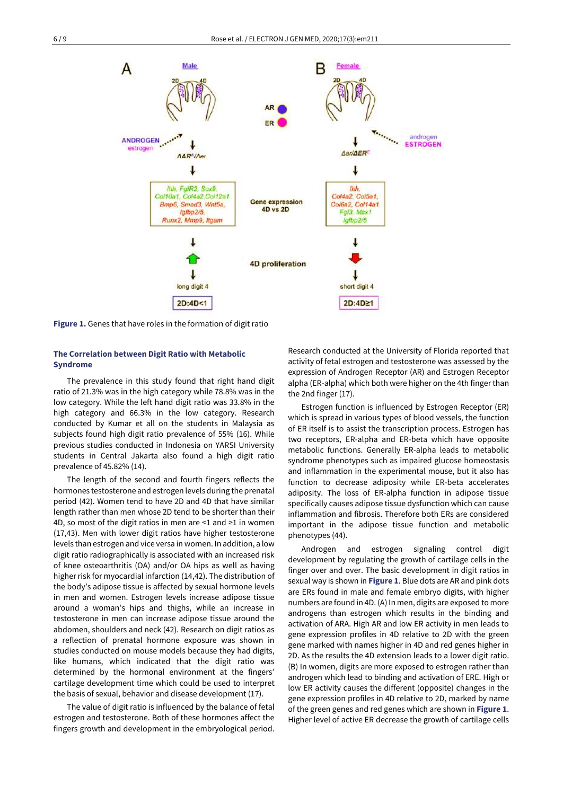

**Figure 1.** Genes that have roles in the formation of digit ratio

## **The Correlation between Digit Ratio with Metabolic Syndrome**

The prevalence in this study found that right hand digit ratio of 21.3% was in the high category while 78.8% was in the low category. While the left hand digit ratio was 33.8% in the high category and 66.3% in the low category. Research conducted by Kumar et all on the students in Malaysia as subjects found high digit ratio prevalence of 55% (16). While previous studies conducted in Indonesia on YARSI University students in Central Jakarta also found a high digit ratio prevalence of 45.82% (14).

The length of the second and fourth fingers reflects the hormones testosterone and estrogen levels during the prenatal period (42). Women tend to have 2D and 4D that have similar length rather than men whose 2D tend to be shorter than their 4D, so most of the digit ratios in men are <1 and ≥1 in women (17,43). Men with lower digit ratios have higher testosterone levels than estrogen and vice versa in women. In addition, a low digit ratio radiographically is associated with an increased risk of knee osteoarthritis (OA) and/or OA hips as well as having higher risk for myocardial infarction (14,42). The distribution of the body's adipose tissue is affected by sexual hormone levels in men and women. Estrogen levels increase adipose tissue around a woman's hips and thighs, while an increase in testosterone in men can increase adipose tissue around the abdomen, shoulders and neck (42). Research on digit ratios as a reflection of prenatal hormone exposure was shown in studies conducted on mouse models because they had digits, like humans, which indicated that the digit ratio was determined by the hormonal environment at the fingers' cartilage development time which could be used to interpret the basis of sexual, behavior and disease development (17).

The value of digit ratio is influenced by the balance of fetal estrogen and testosterone. Both of these hormones affect the fingers growth and development in the embryological period.

Research conducted at the University of Florida reported that activity of fetal estrogen and testosterone was assessed by the expression of Androgen Receptor (AR) and Estrogen Receptor alpha (ER-alpha) which both were higher on the 4th finger than the 2nd finger (17).

Estrogen function is influenced by Estrogen Receptor (ER) which is spread in various types of blood vessels, the function of ER itself is to assist the transcription process. Estrogen has two receptors, ER-alpha and ER-beta which have opposite metabolic functions. Generally ER-alpha leads to metabolic syndrome phenotypes such as impaired glucose homeostasis and inflammation in the experimental mouse, but it also has function to decrease adiposity while ER-beta accelerates adiposity. The loss of ER-alpha function in adipose tissue specifically causes adipose tissue dysfunction which can cause inflammation and fibrosis. Therefore both ERs are considered important in the adipose tissue function and metabolic phenotypes (44).

Androgen and estrogen signaling control digit development by regulating the growth of cartilage cells in the finger over and over. The basic development in digit ratios in sexual way is shown in **Figure 1**. Blue dots are AR and pink dots are ERs found in male and female embryo digits, with higher numbers are found in 4D. (A) In men, digits are exposed to more androgens than estrogen which results in the binding and activation of ARA. High AR and low ER activity in men leads to gene expression profiles in 4D relative to 2D with the green gene marked with names higher in 4D and red genes higher in 2D. As the results the 4D extension leads to a lower digit ratio. (B) In women, digits are more exposed to estrogen rather than androgen which lead to binding and activation of ERE. High or low ER activity causes the different (opposite) changes in the gene expression profiles in 4D relative to 2D, marked by name of the green genes and red genes which are shown in **Figure 1**. Higher level of active ER decrease the growth of cartilage cells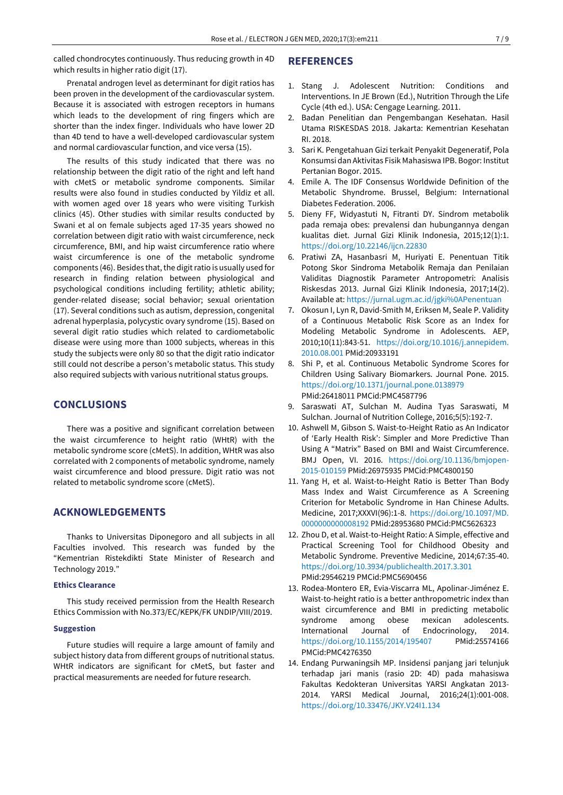called chondrocytes continuously. Thus reducing growth in 4D which results in higher ratio digit (17).

Prenatal androgen level as determinant for digit ratios has been proven in the development of the cardiovascular system. Because it is associated with estrogen receptors in humans which leads to the development of ring fingers which are shorter than the index finger. Individuals who have lower 2D than 4D tend to have a well-developed cardiovascular system and normal cardiovascular function, and vice versa (15).

The results of this study indicated that there was no relationship between the digit ratio of the right and left hand with cMetS or metabolic syndrome components. Similar results were also found in studies conducted by Yildiz et all. with women aged over 18 years who were visiting Turkish clinics (45). Other studies with similar results conducted by Swani et al on female subjects aged 17-35 years showed no correlation between digit ratio with waist circumference, neck circumference, BMI, and hip waist circumference ratio where waist circumference is one of the metabolic syndrome components (46). Besides that, the digit ratio is usually used for research in finding relation between physiological and psychological conditions including fertility; athletic ability; gender-related disease; social behavior; sexual orientation (17). Several conditions such as autism, depression, congenital adrenal hyperplasia, polycystic ovary syndrome (15). Based on several digit ratio studies which related to cardiometabolic disease were using more than 1000 subjects, whereas in this study the subjects were only 80 so that the digit ratio indicator still could not describe a person's metabolic status. This study also required subjects with various nutritional status groups.

# **CONCLUSIONS**

There was a positive and significant correlation between the waist circumference to height ratio (WHtR) with the metabolic syndrome score (cMetS). In addition, WHtR was also correlated with 2 components of metabolic syndrome, namely waist circumference and blood pressure. Digit ratio was not related to metabolic syndrome score (cMetS).

# **ACKNOWLEDGEMENTS**

Thanks to Universitas Diponegoro and all subjects in all Faculties involved. This research was funded by the "Kementrian Ristekdikti State Minister of Research and Technology 2019."

## **Ethics Clearance**

This study received permission from the Health Research Ethics Commission with No.373/EC/KEPK/FK UNDIP/VIII/2019.

## **Suggestion**

Future studies will require a large amount of family and subject history data from different groups of nutritional status. WHtR indicators are significant for cMetS, but faster and practical measurements are needed for future research.

# **REFERENCES**

- 1. Stang J. Adolescent Nutrition: Conditions and Interventions. In JE Brown (Ed.), Nutrition Through the Life Cycle (4th ed.). USA: Cengage Learning. 2011.
- 2. Badan Penelitian dan Pengembangan Kesehatan. Hasil Utama RISKESDAS 2018. Jakarta: Kementrian Kesehatan RI. 2018.
- 3. Sari K. Pengetahuan Gizi terkait Penyakit Degeneratif, Pola Konsumsi dan Aktivitas Fisik Mahasiswa IPB. Bogor: Institut Pertanian Bogor. 2015.
- 4. Emile A. The IDF Consensus Worldwide Definition of the Metabolic Shyndrome. Brussel, Belgium: International Diabetes Federation. 2006.
- 5. Dieny FF, Widyastuti N, Fitranti DY. Sindrom metabolik pada remaja obes: prevalensi dan hubungannya dengan kualitas diet. Jurnal Gizi Klinik Indonesia, 2015;12(1):1. <https://doi.org/10.22146/ijcn.22830>
- 6. Pratiwi ZA, Hasanbasri M, Huriyati E. Penentuan Titik Potong Skor Sindroma Metabolik Remaja dan Penilaian Validitas Diagnostik Parameter Antropometri: Analisis Riskesdas 2013. Jurnal Gizi Klinik Indonesia, 2017;14(2). Available at: <https://jurnal.ugm.ac.id/jgki%0APenentuan>
- 7. Okosun I, Lyn R, David-Smith M, Eriksen M, Seale P. Validity of a Continuous Metabolic Risk Score as an Index for Modeling Metabolic Syndrome in Adolescents. AEP, 2010;10(11):843-51. [https://doi.org/10.1016/j.annepidem.](https://doi.org/10.1016/j.annepidem.2010.08.001) [2010.08.001](https://doi.org/10.1016/j.annepidem.2010.08.001) PMid:20933191
- 8. Shi P, et al. Continuous Metabolic Syndrome Scores for Children Using Salivary Biomarkers. Journal Pone. 2015. <https://doi.org/10.1371/journal.pone.0138979> PMid:26418011 PMCid:PMC4587796
- 9. Saraswati AT, Sulchan M. Audina Tyas Saraswati, M Sulchan. Journal of Nutrition College, 2016;5(5):192-7.
- 10. Ashwell M, Gibson S. Waist-to-Height Ratio as An Indicator of 'Early Health Risk': Simpler and More Predictive Than Using A "Matrix" Based on BMI and Waist Circumference. BMJ Open, VI. 2016. [https://doi.org/10.1136/bmjopen-](https://doi.org/10.1136/bmjopen-2015-010159)[2015-010159](https://doi.org/10.1136/bmjopen-2015-010159) PMid:26975935 PMCid:PMC4800150
- 11. Yang H, et al. Waist-to-Height Ratio is Better Than Body Mass Index and Waist Circumference as A Screening Criterion for Metabolic Syndrome in Han Chinese Adults. Medicine, 2017;XXXVI(96):1-8. [https://doi.org/10.1097/MD.](https://doi.org/10.1097/MD.0000000000008192) [0000000000008192](https://doi.org/10.1097/MD.0000000000008192) PMid:28953680 PMCid:PMC5626323
- 12. Zhou D, et al. Waist-to-Height Ratio: A Simple, effective and Practical Screening Tool for Childhood Obesity and Metabolic Syndrome. Preventive Medicine, 2014;67:35-40. <https://doi.org/10.3934/publichealth.2017.3.301> PMid:29546219 PMCid:PMC5690456
- 13. Rodea-Montero ER, Evia-Viscarra ML, Apolinar-Jiménez E. Waist-to-height ratio is a better anthropometric index than waist circumference and BMI in predicting metabolic syndrome among obese mexican adolescents. International Journal of Endocrinology, 2014. <https://doi.org/10.1155/2014/195407> PMid:25574166 PMCid:PMC4276350
- 14. Endang Purwaningsih MP. Insidensi panjang jari telunjuk terhadap jari manis (rasio 2D: 4D) pada mahasiswa Fakultas Kedokteran Universitas YARSI Angkatan 2013- 2014. YARSI Medical Journal, 2016;24(1):001-008. <https://doi.org/10.33476/JKY.V24I1.134>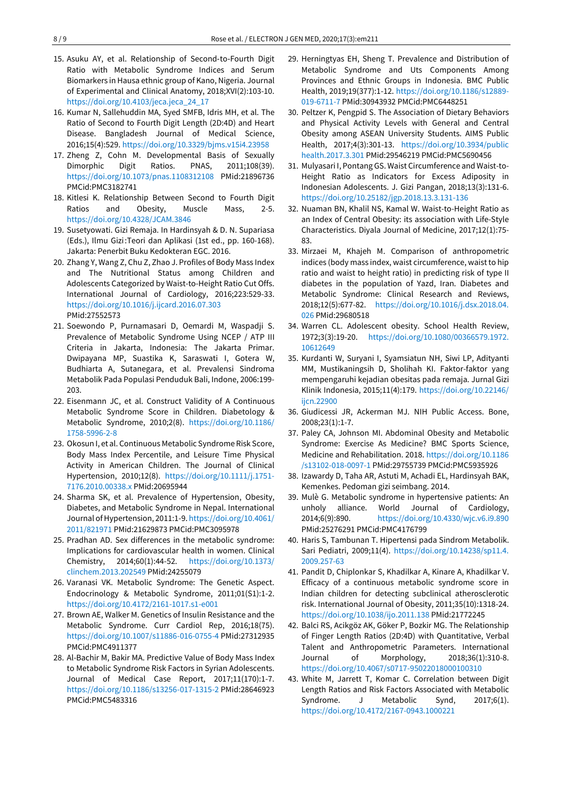- 15. Asuku AY, et al. Relationship of Second-to-Fourth Digit Ratio with Metabolic Syndrome Indices and Serum Biomarkers in Hausa ethnic group of Kano, Nigeria. Journal of Experimental and Clinical Anatomy, 2018;XVI(2):103-10. [https://doi.org/10.4103/jeca.jeca\\_24\\_17](https://doi.org/10.4103/jeca.jeca_24_17)
- 16. Kumar N, Sallehuddin MA, Syed SMFB, Idris MH, et al. The Ratio of Second to Fourth Digit Length (2D:4D) and Heart Disease. Bangladesh Journal of Medical Science, 2016;15(4):529. <https://doi.org/10.3329/bjms.v15i4.23958>
- 17. Zheng Z, Cohn M. Developmental Basis of Sexually Dimorphic Digit Ratios. PNAS, 2011;108(39). <https://doi.org/10.1073/pnas.1108312108> PMid:21896736 PMCid:PMC3182741
- 18. Kitlesi K. Relationship Between Second to Fourth Digit Ratios and Obesity, Muscle Mass, 2-5. <https://doi.org/10.4328/JCAM.3846>
- 19. Susetyowati. Gizi Remaja. In Hardinsyah & D. N. Supariasa (Eds.), Ilmu Gizi :Teori dan Aplikasi (1st ed., pp. 160-168). Jakarta: Penerbit Buku Kedokteran EGC. 2016.
- 20. Zhang Y, Wang Z, Chu Z, Zhao J. Profiles of Body Mass Index and The Nutritional Status among Children and Adolescents Categorized by Waist-to-Height Ratio Cut Offs. International Journal of Cardiology, 2016;223:529-33. <https://doi.org/10.1016/j.ijcard.2016.07.303> PMid:27552573
- 21. Soewondo P, Purnamasari D, Oemardi M, Waspadji S. Prevalence of Metabolic Syndrome Using NCEP / ATP III Criteria in Jakarta, Indonesia: The Jakarta Primar. Dwipayana MP, Suastika K, Saraswati I, Gotera W, Budhiarta A, Sutanegara, et al. Prevalensi Sindroma Metabolik Pada Populasi Penduduk Bali, Indone, 2006:199- 203.
- 22. Eisenmann JC, et al. Construct Validity of A Continuous Metabolic Syndrome Score in Children. Diabetology & Metabolic Syndrome, 2010;2(8). [https://doi.org/10.1186/](https://doi.org/10.1186/1758-5996-2-8) [1758-5996-2-8](https://doi.org/10.1186/1758-5996-2-8)
- 23. Okosun I, et al. Continuous Metabolic Syndrome Risk Score, Body Mass Index Percentile, and Leisure Time Physical Activity in American Children. The Journal of Clinical Hypertension, 2010;12(8). [https://doi.org/10.1111/j.1751-](https://doi.org/10.1111/j.1751-7176.2010.00338.x) [7176.2010.00338.x](https://doi.org/10.1111/j.1751-7176.2010.00338.x) PMid:20695944
- 24. Sharma SK, et al. Prevalence of Hypertension, Obesity, Diabetes, and Metabolic Syndrome in Nepal. International Journal of Hypertension, 2011:1-9. [https://doi.org/10.4061/](https://doi.org/10.4061/2011/821971) [2011/821971](https://doi.org/10.4061/2011/821971) PMid:21629873 PMCid:PMC3095978
- 25. Pradhan AD. Sex differences in the metabolic syndrome: Implications for cardiovascular health in women. Clinical Chemistry, 2014;60(1):44-52. [https://doi.org/10.1373/](https://doi.org/10.1373/clinchem.2013.202549) [clinchem.2013.202549](https://doi.org/10.1373/clinchem.2013.202549) PMid:24255079
- 26. Varanasi VK. Metabolic Syndrome: The Genetic Aspect. Endocrinology & Metabolic Syndrome, 2011;01(S1):1-2. <https://doi.org/10.4172/2161-1017.s1-e001>
- 27. Brown AE, Walker M. Genetics of Insulin Resistance and the Metabolic Syndrome. Curr Cardiol Rep, 2016;18(75). <https://doi.org/10.1007/s11886-016-0755-4> PMid:27312935 PMCid:PMC4911377
- 28. Al-Bachir M, Bakir MA. Predictive Value of Body Mass Index to Metabolic Syndrome Risk Factors in Syrian Adolescents. Journal of Medical Case Report, 2017;11(170):1-7. <https://doi.org/10.1186/s13256-017-1315-2> PMid:28646923 PMCid:PMC5483316
- 29. Herningtyas EH, Sheng T. Prevalence and Distribution of Metabolic Syndrome and Uts Components Among Provinces and Ethnic Groups in Indonesia. BMC Public Health, 2019;19(377):1-12. [https://doi.org/10.1186/s12889-](https://doi.org/10.1186/s12889-019-6711-7) [019-6711-7](https://doi.org/10.1186/s12889-019-6711-7) PMid:30943932 PMCid:PMC6448251
- 30. Peltzer K, Pengpid S. The Association of Dietary Behaviors and Physical Activity Levels with General and Central Obesity among ASEAN University Students. AIMS Public Health, 2017;4(3):301-13. [https://doi.org/10.3934/public](https://doi.org/10.3934/publichealth.2017.3.301) [health.2017.3.301](https://doi.org/10.3934/publichealth.2017.3.301) PMid:29546219 PMCid:PMC5690456
- 31. Mulyasari I, Pontang GS. Waist Circumference and Waist-to-Height Ratio as Indicators for Excess Adiposity in Indonesian Adolescents. J. Gizi Pangan, 2018;13(3):131-6. <https://doi.org/10.25182/jgp.2018.13.3.131-136>
- 32. Nuaman BN, Khalil NS, Kamal W. Waist-to-Height Ratio as an Index of Central Obesity: its association with Life-Style Characteristics. Diyala Journal of Medicine, 2017;12(1):75- 83.
- 33. Mirzaei M, Khajeh M. Comparison of anthropometric indices (body mass index, waist circumference, waist to hip ratio and waist to height ratio) in predicting risk of type II diabetes in the population of Yazd, Iran. Diabetes and Metabolic Syndrome: Clinical Research and Reviews, 2018;12(5):677-82. [https://doi.org/10.1016/j.dsx.2018.04.](https://doi.org/10.1016/j.dsx.2018.04.026) [026](https://doi.org/10.1016/j.dsx.2018.04.026) PMid:29680518
- 34. Warren CL. Adolescent obesity. School Health Review, 1972;3(3):19-20. [https://doi.org/10.1080/00366579.1972.](https://doi.org/10.1080/00366579.1972.10612649) [10612649](https://doi.org/10.1080/00366579.1972.10612649)
- 35. Kurdanti W, Suryani I, Syamsiatun NH, Siwi LP, Adityanti MM, Mustikaningsih D, Sholihah KI. Faktor-faktor yang mempengaruhi kejadian obesitas pada remaja. Jurnal Gizi Klinik Indonesia, 2015;11(4):179. [https://doi.org/10.22146/](https://doi.org/10.22146/ijcn.22900) [ijcn.22900](https://doi.org/10.22146/ijcn.22900)
- 36. Giudicessi JR, Ackerman MJ. NIH Public Access. Bone, 2008;23(1):1-7.
- 37. Paley CA, Johnson MI. Abdominal Obesity and Metabolic Syndrome: Exercise As Medicine? BMC Sports Science, Medicine and Rehabilitation. 2018. [https://doi.org/10.1186](https://doi.org/10.1186/s13102-018-0097-1) [/s13102-018-0097-1](https://doi.org/10.1186/s13102-018-0097-1) PMid:29755739 PMCid:PMC5935926
- 38. Izawardy D, Taha AR, Astuti M, Achadi EL, Hardinsyah BAK, Kemenkes. Pedoman gizi seimbang. 2014.
- 39. Mulè G. Metabolic syndrome in hypertensive patients: An unholy alliance. World Journal of Cardiology, 2014;6(9):890. <https://doi.org/10.4330/wjc.v6.i9.890> PMid:25276291 PMCid:PMC4176799
- 40. Haris S, Tambunan T. Hipertensi pada Sindrom Metabolik. Sari Pediatri, 2009;11(4). [https://doi.org/10.14238/sp11.4.](https://doi.org/10.14238/sp11.4.2009.257-63) [2009.257-63](https://doi.org/10.14238/sp11.4.2009.257-63)
- 41. Pandit D, Chiplonkar S, Khadilkar A, Kinare A, Khadilkar V. Efficacy of a continuous metabolic syndrome score in Indian children for detecting subclinical atherosclerotic risk. International Journal of Obesity, 2011;35(10):1318-24. <https://doi.org/10.1038/ijo.2011.138> PMid:21772245
- 42. Balci RS, Acikgöz AK, Göker P, Bozkir MG. The Relationship of Finger Length Ratios (2D:4D) with Quantitative, Verbal Talent and Anthropometric Parameters. International Journal of Morphology, 2018;36(1):310-8. <https://doi.org/10.4067/s0717-95022018000100310>
- 43. White M, Jarrett T, Komar C. Correlation between Digit Length Ratios and Risk Factors Associated with Metabolic Syndrome. J Metabolic Synd, 2017;6(1). <https://doi.org/10.4172/2167-0943.1000221>